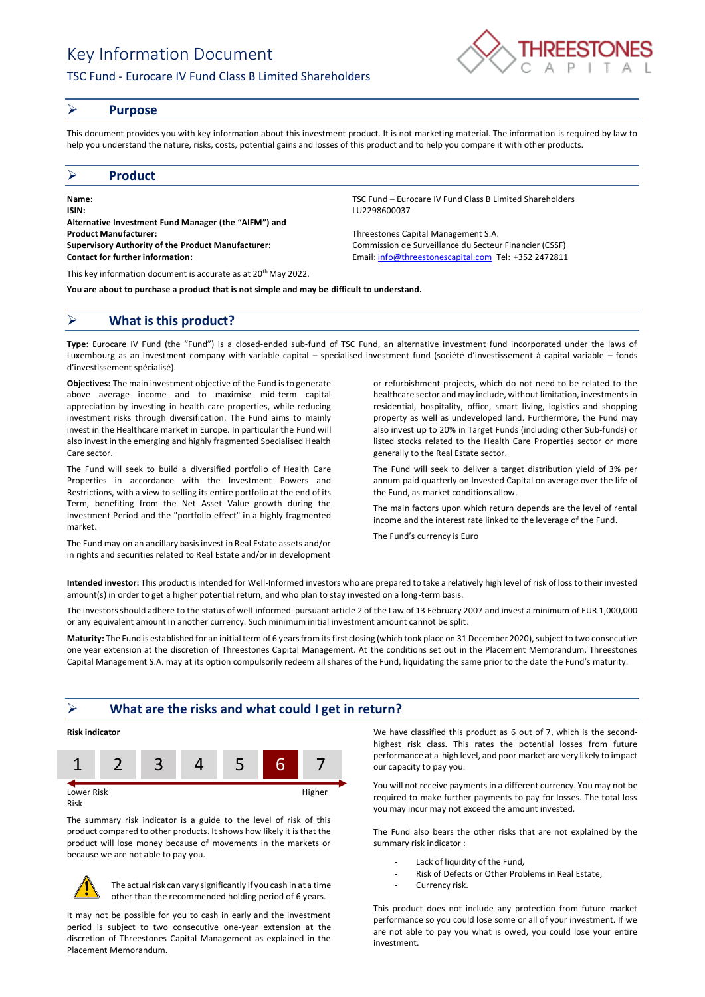# Key Information Document

# TSC Fund - Eurocare IV Fund Class B Limited Shareholders



#### ➢ **Purpose**

This document provides you with key information about this investment product. It is not marketing material. The information is required by law to help you understand the nature, risks, costs, potential gains and losses of this product and to help you compare it with other products.

### ➢ **Product**

**Name:** TSC Fund – Eurocare IV Fund Class B Limited Shareholders **ISIN:** LU2298600037 **Alternative Investment Fund Manager (the "AIFM") and Product Manufacturer:** Threestones Capital Management S.A. **Supervisory Authority of the Product Manufacturer:** Commission de Surveillance du Secteur Financier (CSSF) **Contact for further information:** Email[: info@threestonescapital.com](mailto:info@threestonescapital.com) Tel: +352 2472811

This key information document is accurate as at 20th May 2022.

**You are about to purchase a product that is not simple and may be difficult to understand.**

## ➢ **What is this product?**

**Type:** Eurocare IV Fund (the "Fund") is a closed-ended sub-fund of TSC Fund, an alternative investment fund incorporated under the laws of Luxembourg as an investment company with variable capital – specialised investment fund (société d'investissement à capital variable – fonds d'investissement spécialisé).

**Objectives:** The main investment objective of the Fund is to generate above average income and to maximise mid-term capital appreciation by investing in health care properties, while reducing investment risks through diversification. The Fund aims to mainly invest in the Healthcare market in Europe. In particular the Fund will also invest in the emerging and highly fragmented Specialised Health Care sector.

The Fund will seek to build a diversified portfolio of Health Care Properties in accordance with the Investment Powers and Restrictions, with a view to selling its entire portfolio at the end of its Term, benefiting from the Net Asset Value growth during the Investment Period and the "portfolio effect" in a highly fragmented market.

The Fund may on an ancillary basis invest in Real Estate assets and/or in rights and securities related to Real Estate and/or in development

or refurbishment projects, which do not need to be related to the healthcare sector and may include, without limitation, investments in residential, hospitality, office, smart living, logistics and shopping property as well as undeveloped land. Furthermore, the Fund may also invest up to 20% in Target Funds (including other Sub-funds) or listed stocks related to the Health Care Properties sector or more generally to the Real Estate sector.

The Fund will seek to deliver a target distribution yield of 3% per annum paid quarterly on Invested Capital on average over the life of the Fund, as market conditions allow.

The main factors upon which return depends are the level of rental income and the interest rate linked to the leverage of the Fund.

The Fund's currency is Euro

**Intended investor:** This product is intended for Well-Informed investors who are prepared to take a relatively high level of risk of loss to their invested amount(s) in order to get a higher potential return, and who plan to stay invested on a long-term basis.

The investors should adhere to the status of well-informed pursuant article 2 of the Law of 13 February 2007 and invest a minimum of EUR 1,000,000 or any equivalent amount in another currency. Such minimum initial investment amount cannot be split.

**Maturity:** The Fund is established for an initial term of 6 years from its first closing (which took place on 31 December 2020), subject to two consecutive one year extension at the discretion of Threestones Capital Management. At the conditions set out in the Placement Memorandum, Threestones Capital Management S.A. may at its option compulsorily redeem all shares of the Fund, liquidating the same prior to the date the Fund's maturity.

### ➢ **What are the risks and what could I get in return?**



Risk

The summary risk indicator is a guide to the level of risk of this product compared to other products. It shows how likely it is that the product will lose money because of movements in the markets or because we are not able to pay you.



The actual risk can vary significantly if you cash in at a time other than the recommended holding period of 6 years.

It may not be possible for you to cash in early and the investment period is subject to two consecutive one-year extension at the discretion of Threestones Capital Management as explained in the Placement Memorandum.

We have classified this product as 6 out of 7, which is the secondhighest risk class. This rates the potential losses from future performance at a high level, and poor market are very likely to impact our capacity to pay you.

You will not receive payments in a different currency. You may not be required to make further payments to pay for losses. The total loss you may incur may not exceed the amount invested.

The Fund also bears the other risks that are not explained by the summary risk indicator :

- Lack of liquidity of the Fund,
- Risk of Defects or Other Problems in Real Estate,
- Currency risk.

This product does not include any protection from future market performance so you could lose some or all of your investment. If we are not able to pay you what is owed, you could lose your entire investment.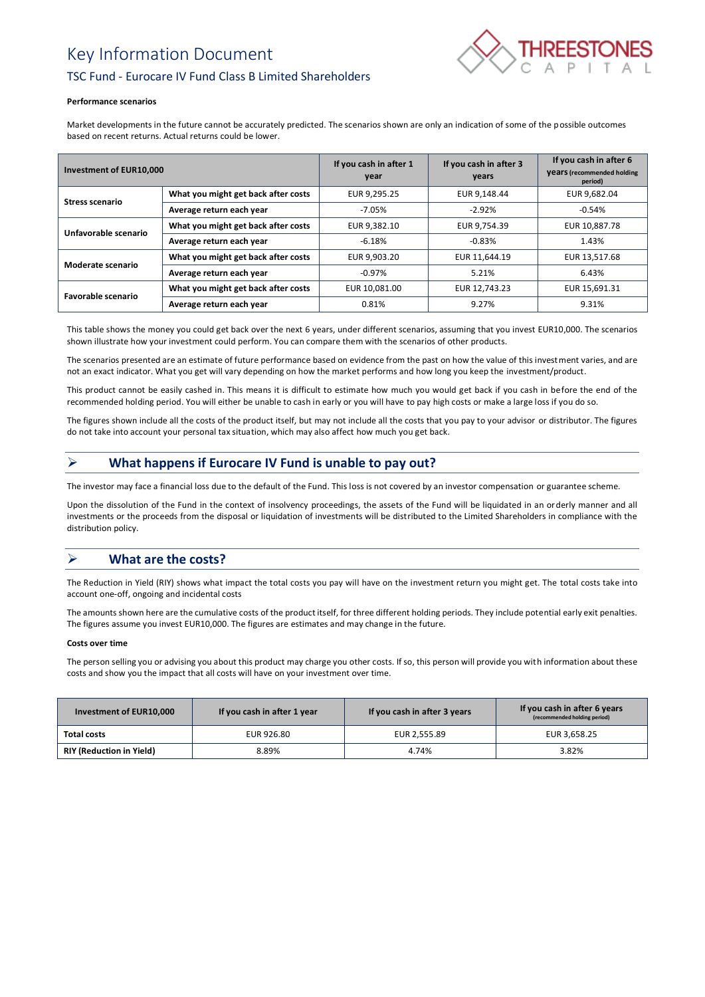# Key Information Document



# TSC Fund - Eurocare IV Fund Class B Limited Shareholders

#### **Performance scenarios**

Market developments in the future cannot be accurately predicted. The scenarios shown are only an indication of some of the possible outcomes based on recent returns. Actual returns could be lower.

| Investment of EUR10,000 |                                     | If you cash in after 1<br>year | If you cash in after 3<br>years | If you cash in after 6<br><b>Vears</b> (recommended holding<br>period) |
|-------------------------|-------------------------------------|--------------------------------|---------------------------------|------------------------------------------------------------------------|
| <b>Stress scenario</b>  | What you might get back after costs | EUR 9,295.25                   | EUR 9.148.44                    | EUR 9,682.04                                                           |
|                         | Average return each year            | $-7.05\%$                      | $-2.92%$                        | $-0.54%$                                                               |
| Unfavorable scenario    | What you might get back after costs | EUR 9,382.10                   | EUR 9.754.39                    | EUR 10,887.78                                                          |
|                         | Average return each year            | $-6.18%$                       | $-0.83%$                        | 1.43%                                                                  |
| Moderate scenario       | What you might get back after costs | EUR 9,903.20                   | EUR 11.644.19                   | EUR 13,517.68                                                          |
|                         | Average return each year            | $-0.97\%$                      | 5.21%                           | 6.43%                                                                  |
| Favorable scenario      | What you might get back after costs | EUR 10.081.00                  | EUR 12,743.23                   | EUR 15,691.31                                                          |
|                         | Average return each year            | 0.81%                          | 9.27%                           | 9.31%                                                                  |

This table shows the money you could get back over the next 6 years, under different scenarios, assuming that you invest EUR10,000. The scenarios shown illustrate how your investment could perform. You can compare them with the scenarios of other products.

The scenarios presented are an estimate of future performance based on evidence from the past on how the value of this investment varies, and are not an exact indicator. What you get will vary depending on how the market performs and how long you keep the investment/product.

This product cannot be easily cashed in. This means it is difficult to estimate how much you would get back if you cash in before the end of the recommended holding period. You will either be unable to cash in early or you will have to pay high costs or make a large loss if you do so.

The figures shown include all the costs of the product itself, but may not include all the costs that you pay to your advisor or distributor. The figures do not take into account your personal tax situation, which may also affect how much you get back.

# ➢ **What happens if Eurocare IV Fund is unable to pay out?**

The investor may face a financial loss due to the default of the Fund. This loss is not covered by an investor compensation or guarantee scheme.

Upon the dissolution of the Fund in the context of insolvency proceedings, the assets of the Fund will be liquidated in an orderly manner and all investments or the proceeds from the disposal or liquidation of investments will be distributed to the Limited Shareholders in compliance with the distribution policy.

# ➢ **What are the costs?**

The Reduction in Yield (RIY) shows what impact the total costs you pay will have on the investment return you might get. The total costs take into account one-off, ongoing and incidental costs

The amounts shown here are the cumulative costs of the product itself, for three different holding periods. They include potential early exit penalties. The figures assume you invest EUR10,000. The figures are estimates and may change in the future.

#### **Costs over time**

The person selling you or advising you about this product may charge you other costs. If so, this person will provide you with information about these costs and show you the impact that all costs will have on your investment over time.

| Investment of EUR10,000         | If you cash in after 1 year | If you cash in after 3 years | If you cash in after 6 years<br>(recommended holding period) |
|---------------------------------|-----------------------------|------------------------------|--------------------------------------------------------------|
| Total costs                     | EUR 926.80                  | EUR 2,555.89                 | EUR 3.658.25                                                 |
| <b>RIY (Reduction in Yield)</b> | 8.89%                       | 4.74%                        | 3.82%                                                        |